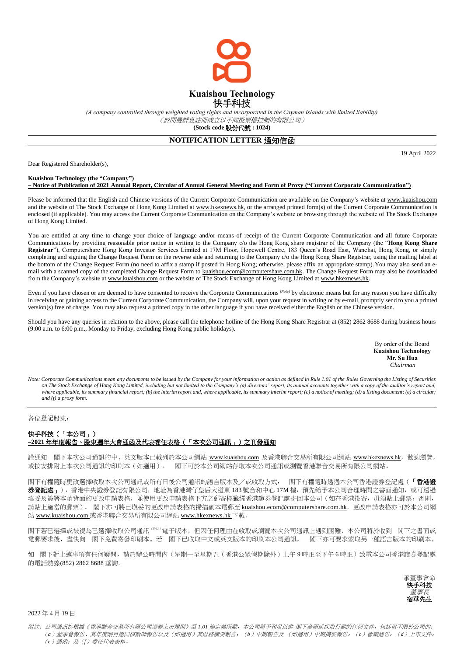

*(A company controlled through weighted voting rights and incorporated in the Cayman Islands with limited liability)* (於開曼群島註冊成立以不同投票權控制的有限公司) **(Stock code** 股份代號 **: 1024)**

## **NOTIFICATION LETTER** 通知信函

Dear Registered Shareholder(s),

19 April 2022

## **Kuaishou Technology (the "Company") – Notice of Publication of 2021 Annual Report, Circular of Annual General Meeting and Form of Proxy ("Current Corporate Communication")**

Please be informed that the English and Chinese versions of the Current Corporate Communication are available on the Company's website at www.kuaishou.com and the website of The Stock Exchange of Hong Kong Limited at www.hkexnews.hk, or the arranged printed form(s) of the Current Corporate Communication is enclosed (if applicable). You may access the Current Corporate Communication on the Company's website or browsing through the website of The Stock Exchange of Hong Kong Limited.

You are entitled at any time to change your choice of language and/or means of receipt of the Current Corporate Communication and all future Corporate Communications by providing reasonable prior notice in writing to the Company c/o the Hong Kong share registrar of the Company (the "**Hong Kong Share Registrar**"), Computershare Hong Kong Investor Services Limited at 17M Floor, Hopewell Centre, 183 Queen's Road East, Wanchai, Hong Kong, or simply completing and signing the Change Request Form on the reverse side and returning to the Company c/o the Hong Kong Share Registrar, using the mailing label at the bottom of the Change Request Form (no need to affix a stamp if posted in Hong Kong; otherwise, please affix an appropriate stamp). You may also send an email with a scanned copy of the completed Change Request Form to kuaishou.ecom@computershare.com.hk. The Change Request Form may also be downloaded from the Company's website at www.kuaishou.com or the website of The Stock Exchange of Hong Kong Limited at www.hkexnews.hk.

Even if you have chosen or are deemed to have consented to receive the Corporate Communications (Note) by electronic means but for any reason you have difficulty in receiving or gaining access to the Current Corporate Communication, the Company will, upon your request in writing or by e-mail, promptly send to you a printed version(s) free of charge. You may also request a printed copy in the other language if you have received either the English or the Chinese version.

Should you have any queries in relation to the above, please call the telephone hotline of the Hong Kong Share Registrar at (852) 2862 8688 during business hours (9:00 a.m. to 6:00 p.m., Monday to Friday, excluding Hong Kong public holidays).

> By order of the Board **Kuaishou Technology Mr. Su Hua** *Chairman*

*Note: Corporate Communications mean any documents to be issued by the Company for your information or action as defined in Rule 1.01 of the Rules Governing the Listing of Securities on The Stock Exchange of Hong Kong Limited, including but not limited to the Company's (a) directors' report, its annual accounts together with a copy of the auditor's report and, where applicable, its summary financial report; (b) the interim report and, where applicable, its summary interim report; (c) a notice of meeting; (d) a listing document; (e) a circular; and (f) a proxy form.*

## 各位登記股東:

## 快手科技(「本公司」) **–2021** 年年度報告、股東週年大會通函及代表委任表格(「本次公司通訊」)之刊發通知

謹通知 閣下本次公司通訊的中、英文版本已載列於本公司網站 www.kuaishou.com 及香港聯合交易所有限公司網站 www.hkexnews.hk, 歡迎瀏覽, 或按安排附上本次公司通訊的印刷本(如適用)。 閣下可於本公司網站存取本次公司通訊或瀏覽香港聯合交易所有限公司網站。

閣下有權隨時更改選擇收取本次公司通訊或所有日後公司通訊的語言版本及/或收取方式, 閣下有權隨時透過本公司香港證券登記處(「香港證 券登記處」),香港中央證券登記有限公司,地址為香港灣仔皇后大道東 183號合和中心 17M 樓,預先給予本公司合理時間之書面通知,或可透過 填妥及簽署本函背面的更改申請表格,並使用更改申請表格下方之郵寄標籤經香港證券登記處寄回本公司(如在香港投寄,毋須貼上郵票;否則, 請貼上適當的郵票)。 閣下亦可將已塡妥的更改申請表格的掃描副本電郵至 kuaishou.ecom@computershare.com.hk。更改申請表格亦可於本公司網 站 www.kuaishou.com 或香港聯合交易所有限公司網站 www.hkexnews.hk 下載。

閣下若已選擇或被視為已選擇收取公司通訊(附註) 電子版本,但因任何理由在收取或瀏覽本次公司通訊上遇到困難,本公司將於收到 閣下之書面或 電郵要求後,盡快向 閣下免費寄發印刷本。若 閣下已收取中文或英文版本的印刷本公司通訊, 閣下亦可要求索取另一種語言版本的印刷本。

如 閣下對上述事項有任何疑問,請於辦公時間內 (星期一至星期五 (香港公眾假期除外)上午 9 時正至下午 6 時正)致電本公司香港證券登記處 的電話熱線(852) 2862 8688 垂詢。



2022 年 4 月 19 日

附註: 公司通訊指根據《香港聯合交易所有限公司證券上市規則》第 1.01 條定義所載, 本公司將予刊發以供 閣下參照或採取行動的任何文件, 包括但不限於公司的: (*a*)董事會報告、其年度賬目連同核數師報告以及(如適用)其財務摘要報告;(*b*)中期報告及 (如適用)中期摘要報告;(*c*)會議通告;(*d*)上市文件; (*e*)通函;及(*f*)委任代表表格。